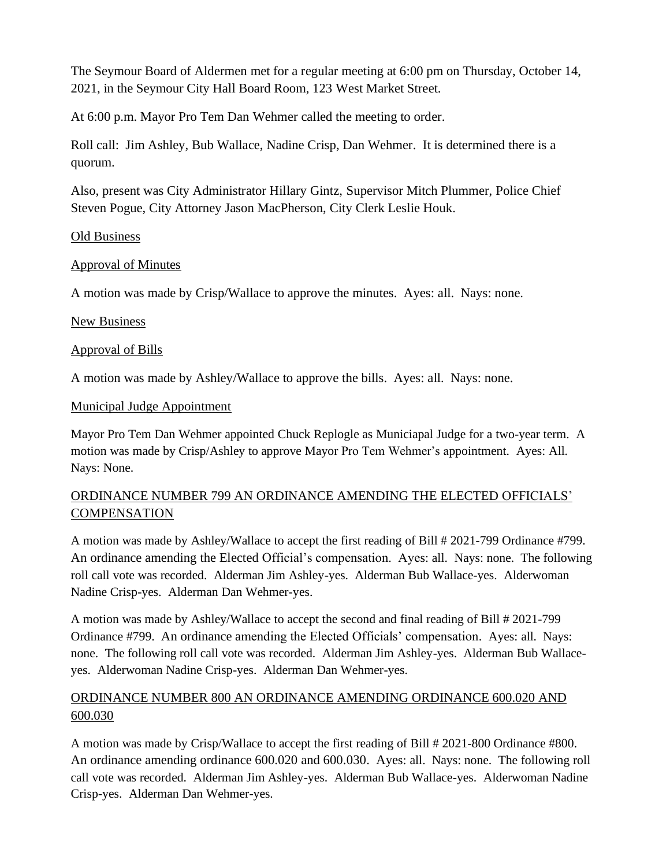The Seymour Board of Aldermen met for a regular meeting at 6:00 pm on Thursday, October 14, 2021, in the Seymour City Hall Board Room, 123 West Market Street.

At 6:00 p.m. Mayor Pro Tem Dan Wehmer called the meeting to order.

Roll call: Jim Ashley, Bub Wallace, Nadine Crisp, Dan Wehmer. It is determined there is a quorum.

Also, present was City Administrator Hillary Gintz, Supervisor Mitch Plummer, Police Chief Steven Pogue, City Attorney Jason MacPherson, City Clerk Leslie Houk.

## Old Business

# Approval of Minutes

A motion was made by Crisp/Wallace to approve the minutes. Ayes: all. Nays: none.

## New Business

## Approval of Bills

A motion was made by Ashley/Wallace to approve the bills. Ayes: all. Nays: none.

#### Municipal Judge Appointment

Mayor Pro Tem Dan Wehmer appointed Chuck Replogle as Municiapal Judge for a two-year term. A motion was made by Crisp/Ashley to approve Mayor Pro Tem Wehmer's appointment. Ayes: All. Nays: None.

# ORDINANCE NUMBER 799 AN ORDINANCE AMENDING THE ELECTED OFFICIALS' **COMPENSATION**

A motion was made by Ashley/Wallace to accept the first reading of Bill # 2021-799 Ordinance #799. An ordinance amending the Elected Official's compensation. Ayes: all. Nays: none. The following roll call vote was recorded. Alderman Jim Ashley-yes. Alderman Bub Wallace-yes. Alderwoman Nadine Crisp-yes. Alderman Dan Wehmer-yes.

A motion was made by Ashley/Wallace to accept the second and final reading of Bill # 2021-799 Ordinance #799. An ordinance amending the Elected Officials' compensation. Ayes: all. Nays: none. The following roll call vote was recorded. Alderman Jim Ashley-yes. Alderman Bub Wallaceyes. Alderwoman Nadine Crisp-yes. Alderman Dan Wehmer-yes.

# ORDINANCE NUMBER 800 AN ORDINANCE AMENDING ORDINANCE 600.020 AND 600.030

A motion was made by Crisp/Wallace to accept the first reading of Bill # 2021-800 Ordinance #800. An ordinance amending ordinance 600.020 and 600.030. Ayes: all. Nays: none. The following roll call vote was recorded. Alderman Jim Ashley-yes. Alderman Bub Wallace-yes. Alderwoman Nadine Crisp-yes. Alderman Dan Wehmer-yes.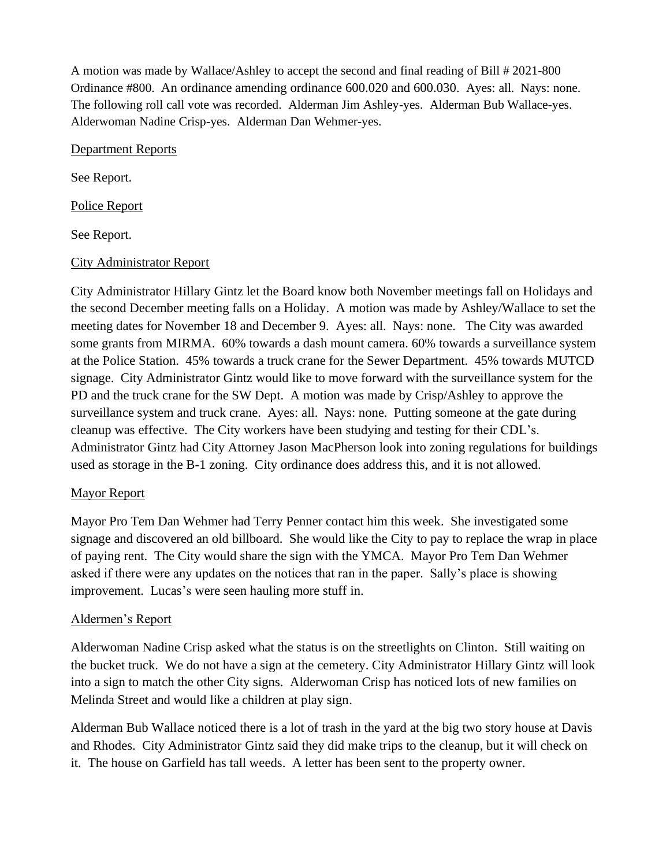A motion was made by Wallace/Ashley to accept the second and final reading of Bill # 2021-800 Ordinance #800. An ordinance amending ordinance 600.020 and 600.030. Ayes: all. Nays: none. The following roll call vote was recorded. Alderman Jim Ashley-yes. Alderman Bub Wallace-yes. Alderwoman Nadine Crisp-yes. Alderman Dan Wehmer-yes.

#### Department Reports

See Report.

Police Report

See Report.

## City Administrator Report

City Administrator Hillary Gintz let the Board know both November meetings fall on Holidays and the second December meeting falls on a Holiday. A motion was made by Ashley/Wallace to set the meeting dates for November 18 and December 9. Ayes: all. Nays: none. The City was awarded some grants from MIRMA. 60% towards a dash mount camera. 60% towards a surveillance system at the Police Station. 45% towards a truck crane for the Sewer Department. 45% towards MUTCD signage. City Administrator Gintz would like to move forward with the surveillance system for the PD and the truck crane for the SW Dept. A motion was made by Crisp/Ashley to approve the surveillance system and truck crane. Ayes: all. Nays: none. Putting someone at the gate during cleanup was effective. The City workers have been studying and testing for their CDL's. Administrator Gintz had City Attorney Jason MacPherson look into zoning regulations for buildings used as storage in the B-1 zoning. City ordinance does address this, and it is not allowed.

# Mayor Report

Mayor Pro Tem Dan Wehmer had Terry Penner contact him this week. She investigated some signage and discovered an old billboard. She would like the City to pay to replace the wrap in place of paying rent. The City would share the sign with the YMCA. Mayor Pro Tem Dan Wehmer asked if there were any updates on the notices that ran in the paper. Sally's place is showing improvement. Lucas's were seen hauling more stuff in.

# Aldermen's Report

Alderwoman Nadine Crisp asked what the status is on the streetlights on Clinton. Still waiting on the bucket truck. We do not have a sign at the cemetery. City Administrator Hillary Gintz will look into a sign to match the other City signs. Alderwoman Crisp has noticed lots of new families on Melinda Street and would like a children at play sign.

Alderman Bub Wallace noticed there is a lot of trash in the yard at the big two story house at Davis and Rhodes. City Administrator Gintz said they did make trips to the cleanup, but it will check on it. The house on Garfield has tall weeds. A letter has been sent to the property owner.